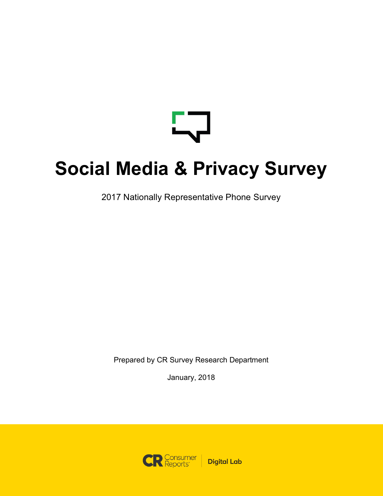$\overline{\phantom{a}}$ 

# **Social Media & Privacy Survey**

2017 Nationally Representative Phone Survey

Prepared by CR Survey Research Department

January, 2018

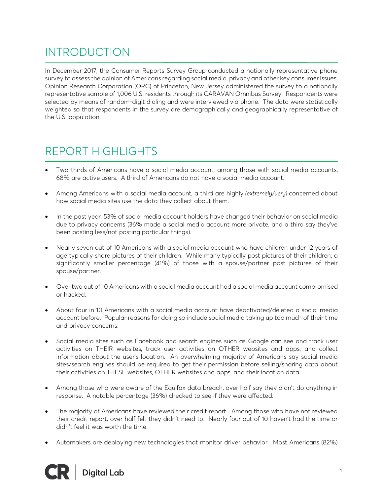## INTRODUCTION

In December 2017, the Consumer Reports Survey Group conducted a nationally representative phone survey to assess the opinion of Americans regarding social media, privacy and other key consumer issues. Opinion Research Corporation (ORC) of Princeton, New Jersey administered the survey to a nationally representative sample of 1,006 U.S. residents through its CARAVAN Omnibus Survey. Respondents were selected by means of random-digit dialing and were interviewed via phone. The data were statistically weighted so that respondents in the survey are demographically and geographically representative of the U.S. population.

## REPORT HIGHLIGHTS

- Two-thirds of Americans have a social media account; among those with social media accounts, 68% are active users. A third of Americans do not have a social media account.
- Among Americans with a social media account, a third are highly *(extremely/very)* concerned about how social media sites use the data they collect about them.
- In the past year, 53% of social media account holders have changed their behavior on social media due to privacy concerns (36% made a social media account more private, and a third say they've been posting less/not posting particular things).
- Nearly seven out of 10 Americans with a social media account who have children under 12 years of age typically share pictures of their children. While many typically post pictures of their children, a significantly smaller percentage (41%) of those with a spouse/partner post pictures of their spouse/partner.
- Over two out of 10 Americans with a social media account had a social media account compromised or hacked.
- About four in 10 Americans with a social media account have deactivated/deleted a social media account before. Popular reasons for doing so include social media taking up too much of their time and privacy concerns.
- Social media sites such as Facebook and search engines such as Google can see and track user activities on THEIR websites, track user activities on OTHER websites and apps, and collect information about the user's location. An overwhelming majority of Americans say social media sites/search engines should be required to get their permission before selling/sharing data about their activities on THESE websites, OTHER websites and apps, and their location data.
- Among those who were aware of the Equifax data breach, over half say they didn't do anything in response. A notable percentage (36%) checked to see if they were affected.
- The majority of Americans have reviewed their credit report. Among those who have not reviewed their credit report, over half felt they didn't need to. Nearly four out of 10 haven't had the time or didn't feel it was worth the time.
- Automakers are deploying new technologies that monitor driver behavior. Most Americans (82%)

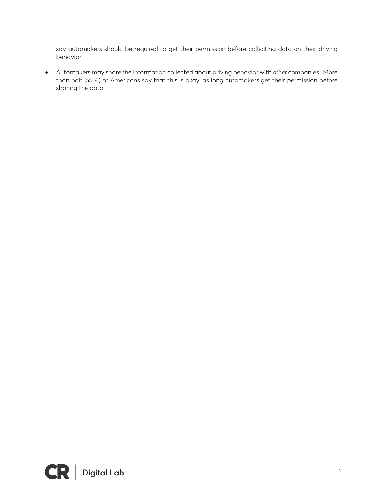say automakers should be required to get their permission before collecting data on their driving behavior.

• Automakers may share the information collected about driving behavior with *other* companies. More than half (55%) of Americans say that this is okay, as long automakers get their permission before sharing the data.

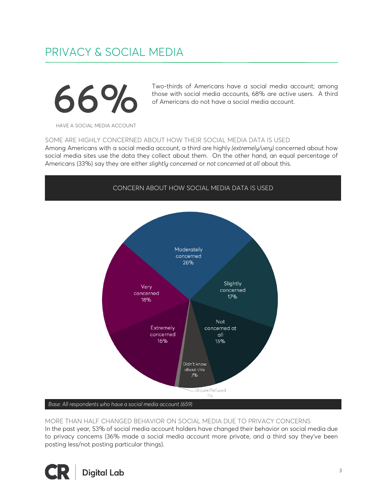## PRIVACY & SOCIAL MEDIA



Two-thirds of Americans have a social media account; among those with social media accounts, 68% are active users. A third of Americans do not have a social media account.

HAVE A SOCIAL MEDIA ACCOUNT

SOME ARE HIGHLY CONCERNED ABOUT HOW THEIR SOCIAL MEDIA DATA IS USED

Among Americans with a social media account, a third are highly *(extremely/very)* concerned about how social media sites use the data they collect about them. On the other hand, an equal percentage of Americans (33%) say they are either *slightly concerned* or *not concerned at all* about this.



#### MORE THAN HALF CHANGED BEHAVIOR ON SOCIAL MEDIA DUE TO PRIVACY CONCERNS

In the past year, 53% of social media account holders have changed their behavior on social media due to privacy concerns (36% made a social media account more private, and a third say they've been posting less/not posting particular things).

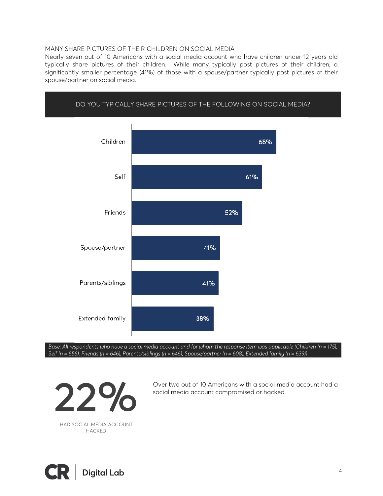#### MANY SHARE PICTURES OF THEIR CHILDREN ON SOCIAL MEDIA

Nearly seven out of 10 Americans with a social media account who have children under 12 years old typically share pictures of their children. While many typically post pictures of their children, a significantly smaller percentage (41%) of those with a spouse/partner typically post pictures of their spouse/partner on social media.

DO YOU TYPICALLY SHARE PICTURES OF THE FOLLOWING ON SOCIAL MEDIA?



*Base: All respondents who have a social media account and for whom the response item was applicable (Children (n = 175), Self (n = 656), Friends (n = 646), Parents/siblings (n = 646), Spouse/partner (n = 608), Extended family (n = 639))*

Over two out of 10 Americans with a social media account had a



HAD SOCIAL MEDIA ACCOUNT HACKED

**Digital Lab**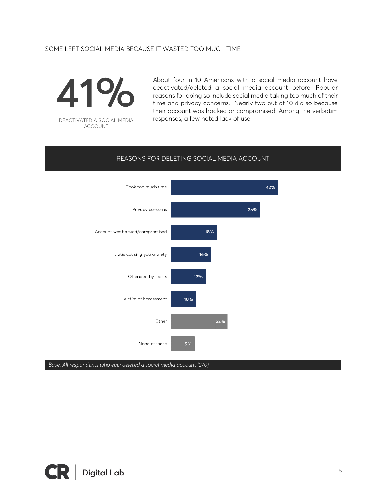### SOME LEFT SOCIAL MEDIA BECAUSE IT WASTED TOO MUCH TIME



DEACTIVATED A SOCIAL MEDIA ACCOUNT

About four in 10 Americans with a social media account have deactivated/deleted a social media account before. Popular reasons for doing so include social media taking too much of their time and privacy concerns. Nearly two out of 10 did so because their account was hacked or compromised. Among the verbatim responses, a few noted lack of use.

## Took too much time 42% Privacy concerns 35% Account was hacked/compromised 18% It was causing you anxiety 16% Offended by posts 13% Victim of harassment 10% Other **22%** 9% None of these

REASONS FOR DELETING SOCIAL MEDIA ACCOUNT

*Base: All respondents who ever deleted a social media account (270)*

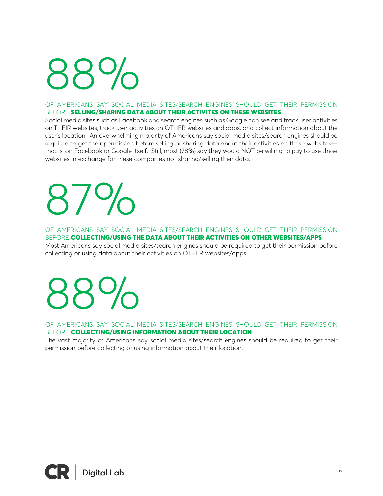# 88 %

#### OF AMERICANS SAY SOCIAL MEDIA SITES/SEARCH ENGINES SHOULD GET THEIR PERMISSION BEFORE SELLING/SHARING DATA ABOUT THEIR ACTIVITES ON THESE WEBSITES

Social media sites such as Facebook and search engines such as Google can see and track user activities on THEIR websites, track user activities on OTHER websites and apps, and collect information about the user's location. An overwhelming majority of Americans say social media sites/search engines should be required to get their permission before selling or sharing data about their activities on these websites that is, on Facebook or Google itself. Still, most (78%) say they would NOT be willing to pay to use these websites in exchange for these companies not sharing/selling their data.

# 87 %

OF AMERICANS SAY SOCIAL MEDIA SITES/SEARCH ENGINES SHOULD GET THEIR PERMISSION BEFORE COLLECTING/USING THE DATA ABOUT THEIR ACTIVITIES ON OTHER WEBSITES/APPS

Most Americans say social media sites/search engines should be required to get their permission before collecting or using data about their activities on OTHER websites/apps.

# 88 %

OF AMERICANS SAY SOCIAL MEDIA SITES/SEARCH ENGINES SHOULD GET THEIR PERMISSION BEFORE COLLECTING/USING INFORMATION ABOUT THEIR LOCATION

The vast majority of Americans say social media sites/search engines should be required to get their permission before collecting or using information about their location.

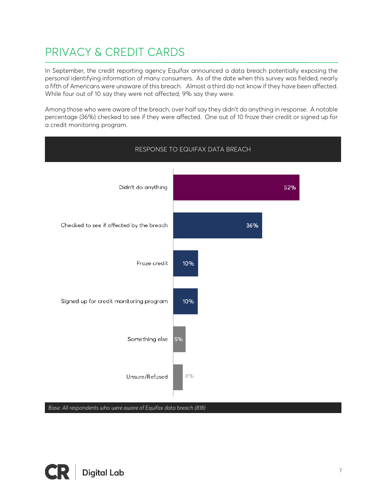## PRIVACY & CREDIT CARDS

In September, the credit reporting agency Equifax announced a data breach potentially exposing the personal identifying information of many consumers. As of the date when this survey was fielded, nearly a fifth of Americans were unaware of this breach. Almost a third do not know if they have been affected. While four out of 10 say they were not affected; 9% say they were.

Among those who were aware of the breach, over half say they didn't do anything in response. A notable percentage (36%) checked to see if they were affected. One out of 10 froze their credit or signed up for a credit monitoring program.



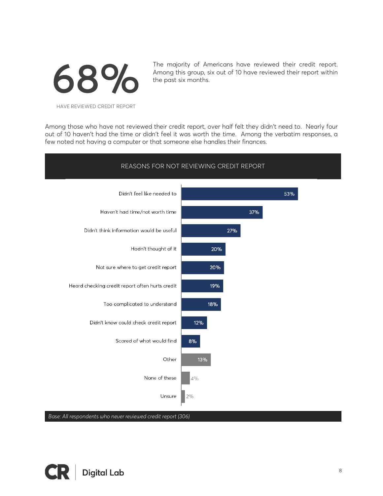

The majority of Americans have reviewed their credit report. Among this group, six out of 10 have reviewed their report within the past six months.

HAVE REVIEWED CREDIT REPORT

Among those who have not reviewed their credit report, over half felt they didn't need to. Nearly four out of 10 haven't had the time or didn't feel it was worth the time. Among the verbatim responses, a few noted not having a computer or that someone else handles their finances.



*Base: All respondents who never reviewed credit report (306)*

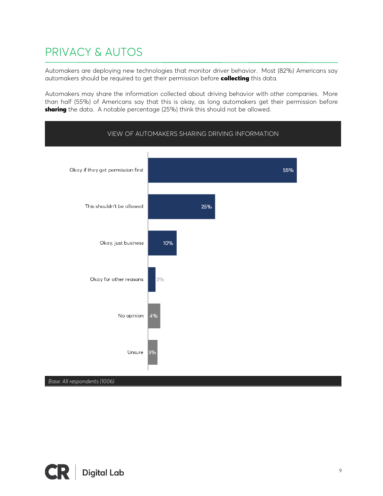## PRIVACY & AUTOS

Automakers are deploying new technologies that monitor driver behavior. Most (82%) Americans say automakers should be required to get their permission before collecting this data.

Automakers may share the information collected about driving behavior with *other* companies. More than half (55%) of Americans say that this is okay, as long automakers get their permission before sharing the data. A notable percentage (25%) think this should not be allowed.



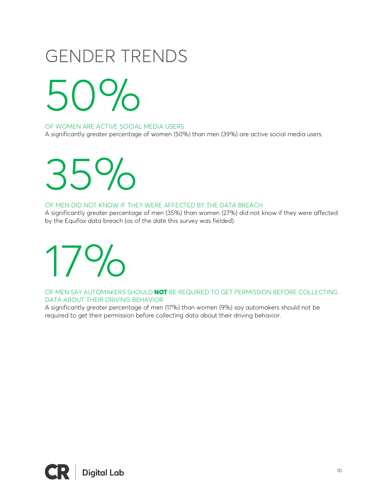# GENDER TRENDS

5  $\bigcap\bigcup_{n}$ 

OF WOMEN ARE ACTIVE SOCIAL MEDIA USERS

A significantly greater percentage of women (50%) than men (39%) are active social media users.

35 %

#### OF MEN DID NOT KNOW IF THEY WERE AFFECTED BY THE DATA BREACH

A significantly greater percentage of men (35%) than women (27%) did not know if they were affected by the Equifax data breach (as of the date this survey was fielded).

17 %

OF MEN SAY AUTOMAKERS SHOULD **NOT** BE REQUIRED TO GET PERMISSION BEFORE COLLECTING DATA ABOUT THEIR DRIVING BEHAVIOR

A significantly greater percentage of men (17%) than women (9%) say automakers should not be required to get their permission before collecting data about their driving behavior.

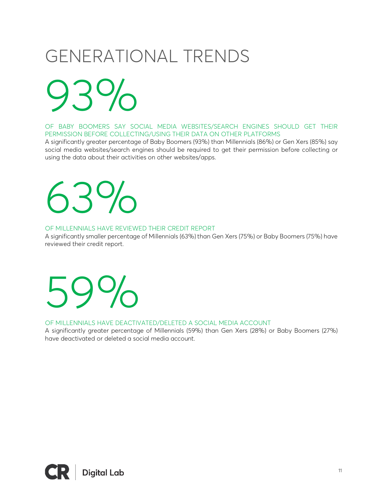# GENERATIONAL TRENDS

9  $\overline{O}$ 

OF BABY BOOMERS SAY SOCIAL MEDIA WEBSITES/SEARCH ENGINES SHOULD GET THEIR PERMISSION BEFORE COLLECTING/USING THEIR DATA ON OTHER PLATFORMS

A significantly greater percentage of Baby Boomers (93%) than Millennials (86%) or Gen Xers (85%) say social media websites/search engines should be required to get their permission before collecting or using the data about their activities on other websites/apps.

# 63 %

### OF MILLENNIALS HAVE REVIEWED THEIR CREDIT REPORT

A significantly smaller percentage of Millennials (63%) than Gen Xers (75%) or Baby Boomers (75%) have reviewed their credit report.

# 59 %

#### OF MILLENNIALS HAVE DEACTIVATED/DELETED A SOCIAL MEDIA ACCOUNT

A significantly greater percentage of Millennials (59%) than Gen Xers (28%) or Baby Boomers (27%) have deactivated or deleted a social media account.